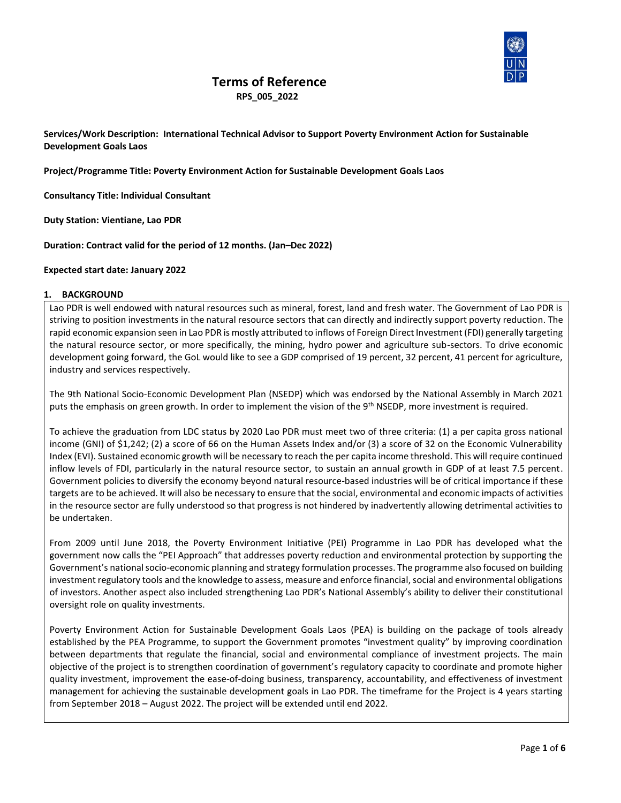

# **Terms of Reference**

 **RPS\_005\_2022**

**Services/Work Description: International Technical Advisor to Support Poverty Environment Action for Sustainable Development Goals Laos**

**Project/Programme Title: Poverty Environment Action for Sustainable Development Goals Laos**

**Consultancy Title: Individual Consultant**

**Duty Station: Vientiane, Lao PDR**

**Duration: Contract valid for the period of 12 months. (Jan–Dec 2022)**

### **Expected start date: January 2022**

#### **1. BACKGROUND**

Lao PDR is well endowed with natural resources such as mineral, forest, land and fresh water. The Government of Lao PDR is striving to position investments in the natural resource sectors that can directly and indirectly support poverty reduction. The rapid economic expansion seen in Lao PDR is mostly attributed to inflows of Foreign Direct Investment (FDI) generally targeting the natural resource sector, or more specifically, the mining, hydro power and agriculture sub-sectors. To drive economic development going forward, the GoL would like to see a GDP comprised of 19 percent, 32 percent, 41 percent for agriculture, industry and services respectively.

The 9th National Socio-Economic Development Plan (NSEDP) which was endorsed by the National Assembly in March 2021 puts the emphasis on green growth. In order to implement the vision of the 9<sup>th</sup> NSEDP, more investment is required.

To achieve the graduation from LDC status by 2020 Lao PDR must meet two of three criteria: (1) a per capita gross national income (GNI) of \$1,242; (2) a score of 66 on the Human Assets Index and/or (3) a score of 32 on the Economic Vulnerability Index (EVI). Sustained economic growth will be necessary to reach the per capita income threshold. This will require continued inflow levels of FDI, particularly in the natural resource sector, to sustain an annual growth in GDP of at least 7.5 percent. Government policies to diversify the economy beyond natural resource-based industries will be of critical importance if these targets are to be achieved. It will also be necessary to ensure that the social, environmental and economic impacts of activities in the resource sector are fully understood so that progress is not hindered by inadvertently allowing detrimental activities to be undertaken.

From 2009 until June 2018, the Poverty Environment Initiative (PEI) Programme in Lao PDR has developed what the government now calls the "PEI Approach" that addresses poverty reduction and environmental protection by supporting the Government's national socio-economic planning and strategy formulation processes. The programme also focused on building investment regulatory tools and the knowledge to assess, measure and enforce financial, social and environmental obligations of investors. Another aspect also included strengthening Lao PDR's National Assembly's ability to deliver their constitutional oversight role on quality investments.

Poverty Environment Action for Sustainable Development Goals Laos (PEA) is building on the package of tools already established by the PEA Programme, to support the Government promotes "investment quality" by improving coordination between departments that regulate the financial, social and environmental compliance of investment projects. The main objective of the project is to strengthen coordination of government's regulatory capacity to coordinate and promote higher quality investment, improvement the ease-of-doing business, transparency, accountability, and effectiveness of investment management for achieving the sustainable development goals in Lao PDR. The timeframe for the Project is 4 years starting from September 2018 – August 2022. The project will be extended until end 2022.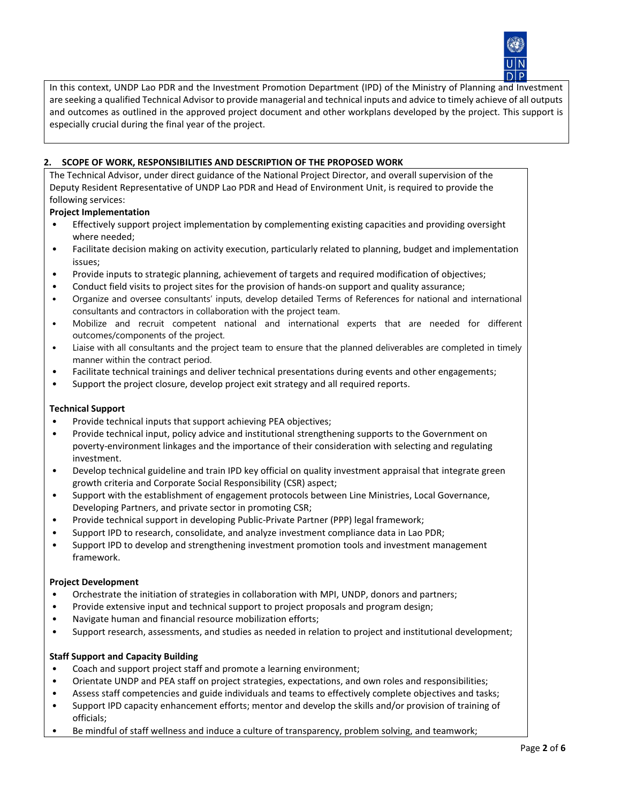

In this context, UNDP Lao PDR and the Investment Promotion Department (IPD) of the Ministry of Planning and Investment are seeking a qualified Technical Advisor to provide managerial and technical inputs and advice to timely achieve of all outputs and outcomes as outlined in the approved project document and other workplans developed by the project. This support is especially crucial during the final year of the project.

# **2. SCOPE OF WORK, RESPONSIBILITIES AND DESCRIPTION OF THE PROPOSED WORK**

The Technical Advisor, under direct guidance of the National Project Director, and overall supervision of the Deputy Resident Representative of UNDP Lao PDR and Head of Environment Unit, is required to provide the following services:

# **Project Implementation**

- Effectively support project implementation by complementing existing capacities and providing oversight where needed;
- Facilitate decision making on activity execution, particularly related to planning, budget and implementation issues;
- Provide inputs to strategic planning, achievement of targets and required modification of objectives;
- Conduct field visits to project sites for the provision of hands-on support and quality assurance;
- Organize and oversee consultants' inputs, develop detailed Terms of References for national and international consultants and contractors in collaboration with the project team.
- Mobilize and recruit competent national and international experts that are needed for different outcomes/components of the project.
- Liaise with all consultants and the project team to ensure that the planned deliverables are completed in timely manner within the contract period.
- Facilitate technical trainings and deliver technical presentations during events and other engagements;
- Support the project closure, develop project exit strategy and all required reports.

# **Technical Support**

- Provide technical inputs that support achieving PEA objectives;
- Provide technical input, policy advice and institutional strengthening supports to the Government on poverty-environment linkages and the importance of their consideration with selecting and regulating investment.
- Develop technical guideline and train IPD key official on quality investment appraisal that integrate green growth criteria and Corporate Social Responsibility (CSR) aspect;
- Support with the establishment of engagement protocols between Line Ministries, Local Governance, Developing Partners, and private sector in promoting CSR;
- Provide technical support in developing Public-Private Partner (PPP) legal framework;
- Support IPD to research, consolidate, and analyze investment compliance data in Lao PDR;
- Support IPD to develop and strengthening investment promotion tools and investment management framework.

#### **Project Development**

- Orchestrate the initiation of strategies in collaboration with MPI, UNDP, donors and partners;
- Provide extensive input and technical support to project proposals and program design;
- Navigate human and financial resource mobilization efforts;
- Support research, assessments, and studies as needed in relation to project and institutional development;

# **Staff Support and Capacity Building**

- Coach and support project staff and promote a learning environment;
- Orientate UNDP and PEA staff on project strategies, expectations, and own roles and responsibilities;
- Assess staff competencies and guide individuals and teams to effectively complete objectives and tasks;
- Support IPD capacity enhancement efforts; mentor and develop the skills and/or provision of training of officials;
- Be mindful of staff wellness and induce a culture of transparency, problem solving, and teamwork;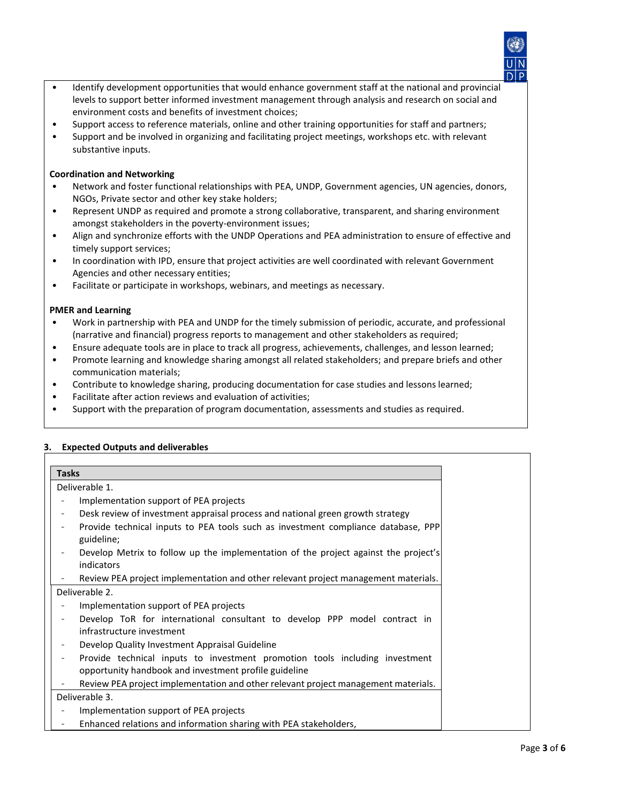- Identify development opportunities that would enhance government staff at the national and provincial levels to support better informed investment management through analysis and research on social and environment costs and benefits of investment choices;
- Support access to reference materials, online and other training opportunities for staff and partners;
- Support and be involved in organizing and facilitating project meetings, workshops etc. with relevant substantive inputs.

#### **Coordination and Networking**

- Network and foster functional relationships with PEA, UNDP, Government agencies, UN agencies, donors, NGOs, Private sector and other key stake holders;
- Represent UNDP as required and promote a strong collaborative, transparent, and sharing environment amongst stakeholders in the poverty-environment issues;
- Align and synchronize efforts with the UNDP Operations and PEA administration to ensure of effective and timely support services;
- In coordination with IPD, ensure that project activities are well coordinated with relevant Government Agencies and other necessary entities;
- Facilitate or participate in workshops, webinars, and meetings as necessary.

### **PMER and Learning**

- Work in partnership with PEA and UNDP for the timely submission of periodic, accurate, and professional (narrative and financial) progress reports to management and other stakeholders as required;
- Ensure adequate tools are in place to track all progress, achievements, challenges, and lesson learned;
- Promote learning and knowledge sharing amongst all related stakeholders; and prepare briefs and other communication materials;
- Contribute to knowledge sharing, producing documentation for case studies and lessons learned;
- Facilitate after action reviews and evaluation of activities;
- Support with the preparation of program documentation, assessments and studies as required.

| <b>Tasks</b>                                        |                                                                                                                                      |
|-----------------------------------------------------|--------------------------------------------------------------------------------------------------------------------------------------|
| Deliverable 1.                                      |                                                                                                                                      |
| Implementation support of PEA projects              |                                                                                                                                      |
| $\overline{\phantom{a}}$                            | Desk review of investment appraisal process and national green growth strategy                                                       |
| guideline;                                          | Provide technical inputs to PEA tools such as investment compliance database, PPP                                                    |
| indicators                                          | Develop Metrix to follow up the implementation of the project against the project's                                                  |
| $\overline{\phantom{a}}$                            | Review PEA project implementation and other relevant project management materials.                                                   |
| Deliverable 2.                                      |                                                                                                                                      |
| Implementation support of PEA projects              |                                                                                                                                      |
| infrastructure investment                           | Develop ToR for international consultant to develop PPP model contract in                                                            |
| Develop Quality Investment Appraisal Guideline<br>- |                                                                                                                                      |
| $\overline{\phantom{a}}$                            | Provide technical inputs to investment promotion tools including investment<br>opportunity handbook and investment profile guideline |
| $\overline{\phantom{a}}$                            | Review PEA project implementation and other relevant project management materials.                                                   |
| Deliverable 3.                                      |                                                                                                                                      |
| Implementation support of PEA projects              |                                                                                                                                      |
| -                                                   | Enhanced relations and information sharing with PEA stakeholders,                                                                    |

# **3. Expected Outputs and deliverables**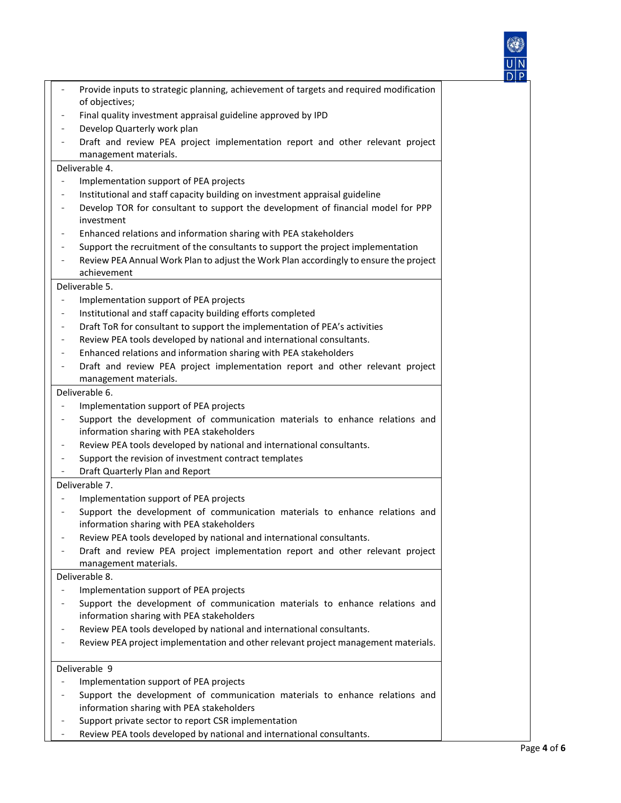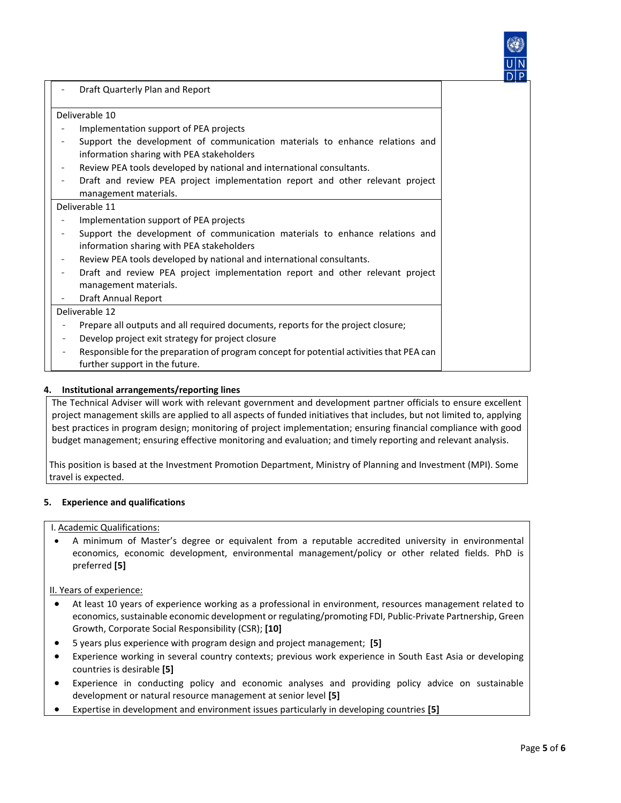| Draft Quarterly Plan and Report                                                                                            |
|----------------------------------------------------------------------------------------------------------------------------|
| Deliverable 10                                                                                                             |
| Implementation support of PEA projects                                                                                     |
| Support the development of communication materials to enhance relations and<br>information sharing with PEA stakeholders   |
| Review PEA tools developed by national and international consultants.                                                      |
| Draft and review PEA project implementation report and other relevant project                                              |
| management materials.                                                                                                      |
| Deliverable 11                                                                                                             |
| Implementation support of PEA projects                                                                                     |
| Support the development of communication materials to enhance relations and<br>information sharing with PEA stakeholders   |
| Review PEA tools developed by national and international consultants.                                                      |
| Draft and review PEA project implementation report and other relevant project<br>management materials.                     |
| <b>Draft Annual Report</b>                                                                                                 |
| Deliverable 12                                                                                                             |
| Prepare all outputs and all required documents, reports for the project closure;                                           |
| Develop project exit strategy for project closure                                                                          |
| Responsible for the preparation of program concept for potential activities that PEA can<br>further support in the future. |

# **4. Institutional arrangements/reporting lines**

The Technical Adviser will work with relevant government and development partner officials to ensure excellent project management skills are applied to all aspects of funded initiatives that includes, but not limited to, applying best practices in program design; monitoring of project implementation; ensuring financial compliance with good budget management; ensuring effective monitoring and evaluation; and timely reporting and relevant analysis.

This position is based at the Investment Promotion Department, Ministry of Planning and Investment (MPI). Some travel is expected.

# **5. Experience and qualifications**

#### I. Academic Qualifications:

• A minimum of Master's degree or equivalent from a reputable accredited university in environmental economics, economic development, environmental management/policy or other related fields. PhD is preferred **[5]**

#### II. Years of experience:

- At least 10 years of experience working as a professional in environment, resources management related to economics, sustainable economic development or regulating/promoting FDI, Public-Private Partnership, Green Growth, Corporate Social Responsibility (CSR); **[10]**
- 5 years plus experience with program design and project management; **[5]**
- Experience working in several country contexts; previous work experience in South East Asia or developing countries is desirable **[5]**
- Experience in conducting policy and economic analyses and providing policy advice on sustainable development or natural resource management at senior level **[5]**
- Expertise in development and environment issues particularly in developing countries **[5]**